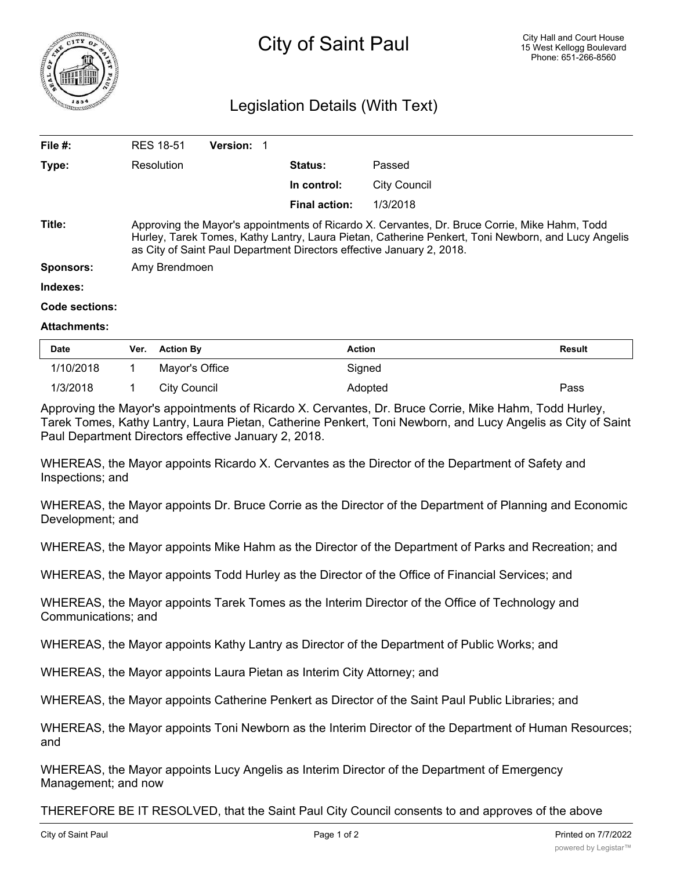

## Legislation Details (With Text)

| File $#$ :          | <b>RES 18-51</b>                                                                                                                                                                                                                                                             | <b>Version:</b> |                      |                     |  |
|---------------------|------------------------------------------------------------------------------------------------------------------------------------------------------------------------------------------------------------------------------------------------------------------------------|-----------------|----------------------|---------------------|--|
| Type:               | Resolution                                                                                                                                                                                                                                                                   |                 | <b>Status:</b>       | Passed              |  |
|                     |                                                                                                                                                                                                                                                                              |                 | In control:          | <b>City Council</b> |  |
|                     |                                                                                                                                                                                                                                                                              |                 | <b>Final action:</b> | 1/3/2018            |  |
| Title:              | Approving the Mayor's appointments of Ricardo X. Cervantes, Dr. Bruce Corrie, Mike Hahm, Todd<br>Hurley, Tarek Tomes, Kathy Lantry, Laura Pietan, Catherine Penkert, Toni Newborn, and Lucy Angelis<br>as City of Saint Paul Department Directors effective January 2, 2018. |                 |                      |                     |  |
| <b>Sponsors:</b>    | Amy Brendmoen                                                                                                                                                                                                                                                                |                 |                      |                     |  |
| Indexes:            |                                                                                                                                                                                                                                                                              |                 |                      |                     |  |
| Code sections:      |                                                                                                                                                                                                                                                                              |                 |                      |                     |  |
| <b>Attachments:</b> |                                                                                                                                                                                                                                                                              |                 |                      |                     |  |

| <b>Date</b> | Ver. | <b>Action By</b> | <b>Action</b> | <b>Result</b> |
|-------------|------|------------------|---------------|---------------|
| 1/10/2018   |      | Mayor's Office   | Signed        |               |
| 1/3/2018    |      | City Council     | Adopted       | Pass          |

Approving the Mayor's appointments of Ricardo X. Cervantes, Dr. Bruce Corrie, Mike Hahm, Todd Hurley, Tarek Tomes, Kathy Lantry, Laura Pietan, Catherine Penkert, Toni Newborn, and Lucy Angelis as City of Saint Paul Department Directors effective January 2, 2018.

WHEREAS, the Mayor appoints Ricardo X. Cervantes as the Director of the Department of Safety and Inspections; and

WHEREAS, the Mayor appoints Dr. Bruce Corrie as the Director of the Department of Planning and Economic Development; and

WHEREAS, the Mayor appoints Mike Hahm as the Director of the Department of Parks and Recreation; and

WHEREAS, the Mayor appoints Todd Hurley as the Director of the Office of Financial Services; and

WHEREAS, the Mayor appoints Tarek Tomes as the Interim Director of the Office of Technology and Communications; and

WHEREAS, the Mayor appoints Kathy Lantry as Director of the Department of Public Works; and

WHEREAS, the Mayor appoints Laura Pietan as Interim City Attorney; and

WHEREAS, the Mayor appoints Catherine Penkert as Director of the Saint Paul Public Libraries; and

WHEREAS, the Mayor appoints Toni Newborn as the Interim Director of the Department of Human Resources; and

WHEREAS, the Mayor appoints Lucy Angelis as Interim Director of the Department of Emergency Management; and now

THEREFORE BE IT RESOLVED, that the Saint Paul City Council consents to and approves of the above